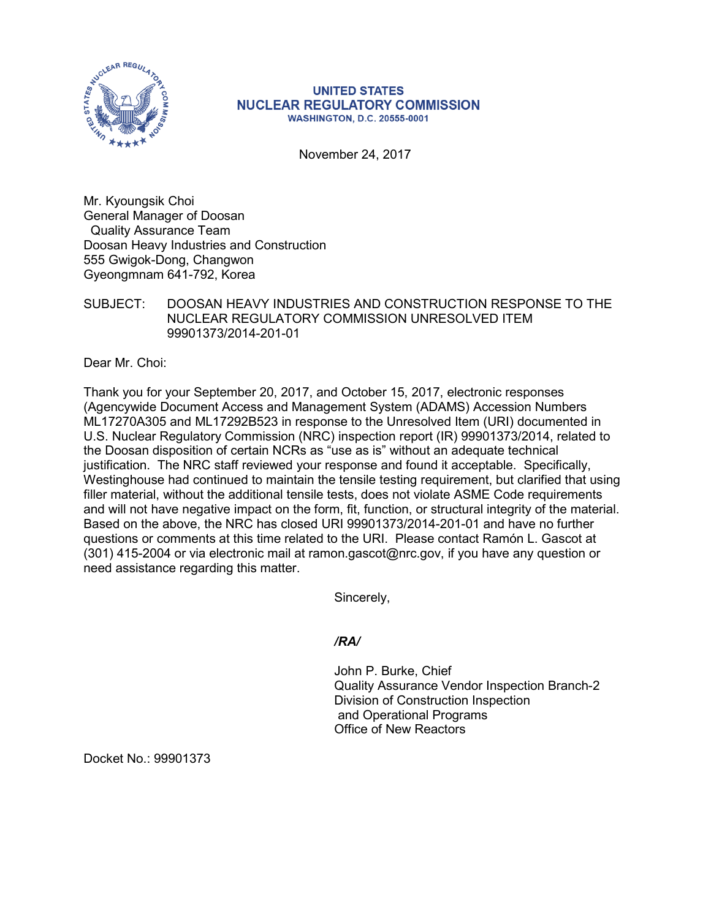

## **UNITED STATES NUCLEAR REGULATORY COMMISSION WASHINGTON, D.C. 20555-0001**

November 24, 2017

Mr. Kyoungsik Choi General Manager of Doosan Quality Assurance Team Doosan Heavy Industries and Construction 555 Gwigok-Dong, Changwon Gyeongmnam 641-792, Korea

SUBJECT: DOOSAN HEAVY INDUSTRIES AND CONSTRUCTION RESPONSE TO THE NUCLEAR REGULATORY COMMISSION UNRESOLVED ITEM 99901373/2014-201-01

Dear Mr. Choi:

Thank you for your September 20, 2017, and October 15, 2017, electronic responses (Agencywide Document Access and Management System (ADAMS) Accession Numbers ML17270A305 and ML17292B523 in response to the Unresolved Item (URI) documented in U.S. Nuclear Regulatory Commission (NRC) inspection report (IR) 99901373/2014, related to the Doosan disposition of certain NCRs as "use as is" without an adequate technical justification. The NRC staff reviewed your response and found it acceptable. Specifically, Westinghouse had continued to maintain the tensile testing requirement, but clarified that using filler material, without the additional tensile tests, does not violate ASME Code requirements and will not have negative impact on the form, fit, function, or structural integrity of the material. Based on the above, the NRC has closed URI 99901373/2014-201-01 and have no further questions or comments at this time related to the URI. Please contact Ramón L. Gascot at (301) 415-2004 or via electronic mail at ramon.gascot@nrc.gov, if you have any question or need assistance regarding this matter.

Sincerely,

## */RA/*

John P. Burke, Chief Quality Assurance Vendor Inspection Branch-2 Division of Construction Inspection and Operational Programs Office of New Reactors

Docket No.: 99901373